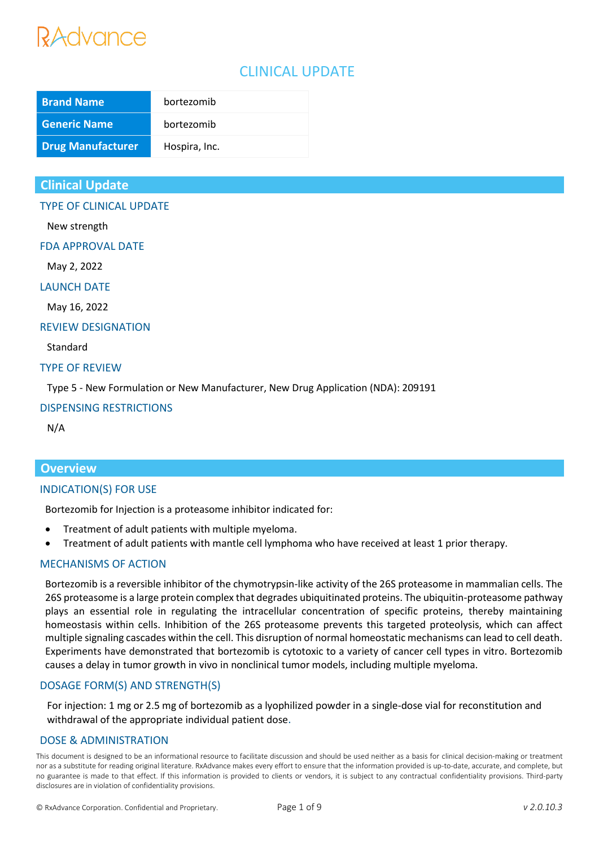### CLINICAL UPDATE

| <b>Brand Name</b>        | bortezomib    |
|--------------------------|---------------|
| <b>Generic Name</b>      | bortezomib    |
| <b>Drug Manufacturer</b> | Hospira, Inc. |

#### **Clinical Update**

TYPE OF CLINICAL UPDATE

New strength

FDA APPROVAL DATE

May 2, 2022

LAUNCH DATE

May 16, 2022

REVIEW DESIGNATION

Standard

#### TYPE OF REVIEW

Type 5 - New Formulation or New Manufacturer, New Drug Application (NDA): 209191

#### DISPENSING RESTRICTIONS

N/A

#### **Overview**

#### INDICATION(S) FOR USE

Bortezomib for Injection is a proteasome inhibitor indicated for:

- Treatment of adult patients with multiple myeloma.
- Treatment of adult patients with mantle cell lymphoma who have received at least 1 prior therapy.

#### MECHANISMS OF ACTION

Bortezomib is a reversible inhibitor of the chymotrypsin-like activity of the 26S proteasome in mammalian cells. The 26S proteasome is a large protein complex that degrades ubiquitinated proteins. The ubiquitin-proteasome pathway plays an essential role in regulating the intracellular concentration of specific proteins, thereby maintaining homeostasis within cells. Inhibition of the 26S proteasome prevents this targeted proteolysis, which can affect multiple signaling cascades within the cell. This disruption of normal homeostatic mechanisms can lead to cell death. Experiments have demonstrated that bortezomib is cytotoxic to a variety of cancer cell types in vitro. Bortezomib causes a delay in tumor growth in vivo in nonclinical tumor models, including multiple myeloma.

#### DOSAGE FORM(S) AND STRENGTH(S)

For injection: 1 mg or 2.5 mg of bortezomib as a lyophilized powder in a single-dose vial for reconstitution and withdrawal of the appropriate individual patient dose.

#### DOSE & ADMINISTRATION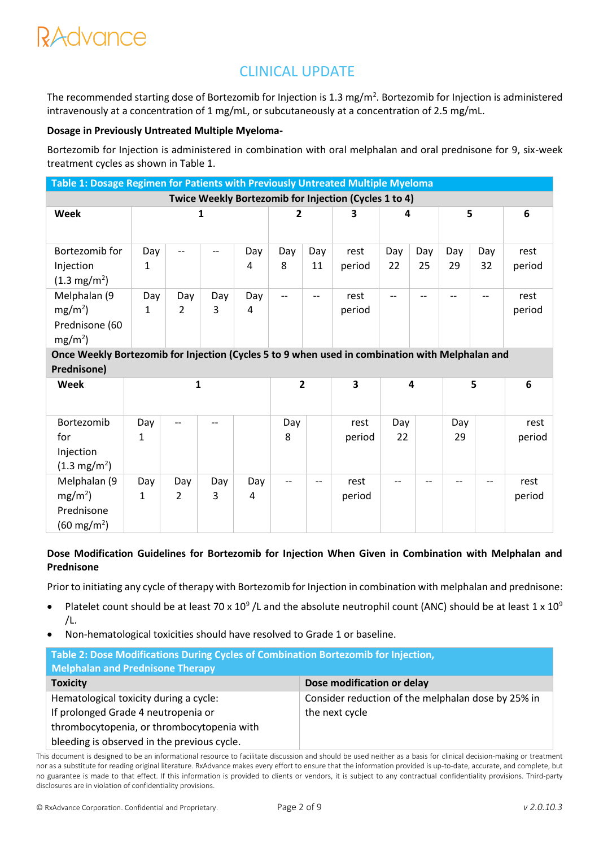## CLINICAL UPDATE

The recommended starting dose of Bortezomib for Injection is 1.3 mg/m<sup>2</sup>. Bortezomib for Injection is administered intravenously at a concentration of 1 mg/mL, or subcutaneously at a concentration of 2.5 mg/mL.

#### **Dosage in Previously Untreated Multiple Myeloma-**

Bortezomib for Injection is administered in combination with oral melphalan and oral prednisone for 9, six-week treatment cycles as shown in Table 1.

| Table 1: Dosage Regimen for Patients with Previously Untreated Multiple Myeloma |     |     |     |     |     |     |        |     |     |     |     |        |
|---------------------------------------------------------------------------------|-----|-----|-----|-----|-----|-----|--------|-----|-----|-----|-----|--------|
| Twice Weekly Bortezomib for Injection (Cycles 1 to 4)                           |     |     |     |     |     |     |        |     |     |     |     |        |
| Week                                                                            |     |     |     |     | 2   |     | 3      | 4   |     |     | 5   | 6      |
|                                                                                 |     |     |     |     |     |     |        |     |     |     |     |        |
| Bortezomib for                                                                  | Day |     |     | Day | Day | Day | rest   | Day | Day | Day | Day | rest   |
| Injection                                                                       | 1   |     |     | 4   | 8   | 11  | period | 22  | 25  | 29  | 32  | period |
| $(1.3 \text{ mg/m}^2)$                                                          |     |     |     |     |     |     |        |     |     |     |     |        |
| Melphalan (9                                                                    | Day | Day | Day | Day |     |     | rest   | --  |     |     |     | rest   |
| $mg/m2$ )                                                                       |     | 2   | 3   | 4   |     |     | period |     |     |     |     | period |
| Prednisone (60                                                                  |     |     |     |     |     |     |        |     |     |     |     |        |
| mg/m <sup>2</sup>                                                               |     |     |     |     |     |     |        |     |     |     |     |        |

**Once Weekly Bortezomib for Injection (Cycles 5 to 9 when used in combination with Melphalan and Prednisone)**

| Week                                    |          |                          |          |          | $\overline{2}$           |                          | 3              | 4         |    | 5         |    | 6              |
|-----------------------------------------|----------|--------------------------|----------|----------|--------------------------|--------------------------|----------------|-----------|----|-----------|----|----------------|
| Bortezomib<br>for<br>Injection          | Day<br>1 | $\hspace{0.05cm} \ldots$ | $-$      |          | Day<br>8                 |                          | rest<br>period | Day<br>22 |    | Day<br>29 |    | rest<br>period |
| $(1.3 \text{ mg/m}^2)$                  |          |                          |          |          |                          |                          |                |           |    |           |    |                |
| Melphalan (9<br>$mg/m2$ )<br>Prednisone | Day<br>1 | Day<br>2                 | Day<br>3 | Day<br>4 | $\hspace{0.05cm} \ldots$ | $\overline{\phantom{m}}$ | rest<br>period | --        | -- | --        | -- | rest<br>period |
| $(60 \text{ mg/m}^2)$                   |          |                          |          |          |                          |                          |                |           |    |           |    |                |

#### **Dose Modification Guidelines for Bortezomib for Injection When Given in Combination with Melphalan and Prednisone**

Prior to initiating any cycle of therapy with Bortezomib for Injection in combination with melphalan and prednisone:

- Platelet count should be at least 70 x 10<sup>9</sup> /L and the absolute neutrophil count (ANC) should be at least 1 x 10<sup>9</sup>  $/L.$
- Non-hematological toxicities should have resolved to Grade 1 or baseline.

| Table 2: Dose Modifications During Cycles of Combination Bortezomib for Injection,<br><b>Melphalan and Prednisone Therapy</b> |                                                    |  |  |  |  |
|-------------------------------------------------------------------------------------------------------------------------------|----------------------------------------------------|--|--|--|--|
| <b>Toxicity</b>                                                                                                               | Dose modification or delay                         |  |  |  |  |
| Hematological toxicity during a cycle:                                                                                        | Consider reduction of the melphalan dose by 25% in |  |  |  |  |
| If prolonged Grade 4 neutropenia or                                                                                           | the next cycle                                     |  |  |  |  |
| thrombocytopenia, or thrombocytopenia with                                                                                    |                                                    |  |  |  |  |
| bleeding is observed in the previous cycle.                                                                                   |                                                    |  |  |  |  |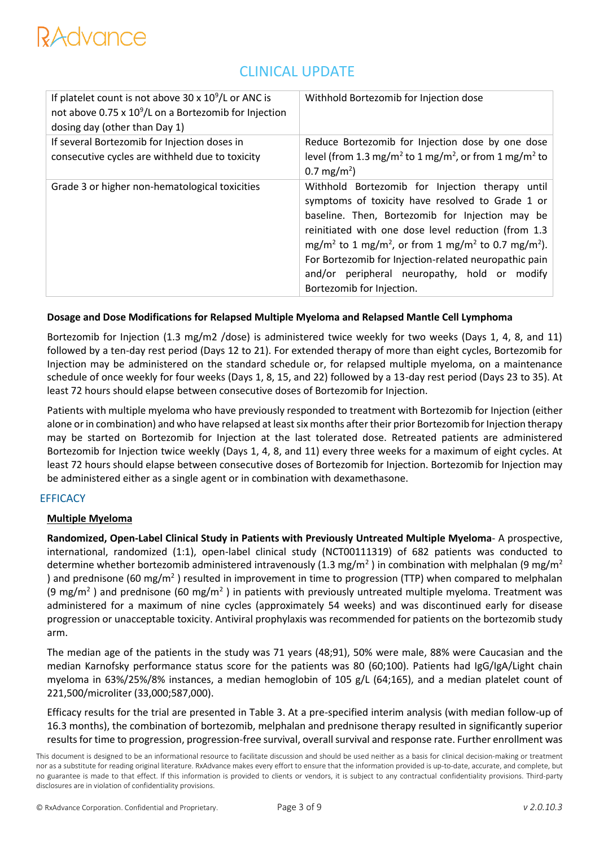### CLINICAL UPDATE

| If platelet count is not above $30 \times 10^9$ /L or ANC is<br>not above 0.75 x $10^9$ /L on a Bortezomib for Injection<br>dosing day (other than Day 1) | Withhold Bortezomib for Injection dose                                                                                                                                                                                                                                                                                                                                                                                                                    |
|-----------------------------------------------------------------------------------------------------------------------------------------------------------|-----------------------------------------------------------------------------------------------------------------------------------------------------------------------------------------------------------------------------------------------------------------------------------------------------------------------------------------------------------------------------------------------------------------------------------------------------------|
| If several Bortezomib for Injection doses in<br>consecutive cycles are withheld due to toxicity                                                           | Reduce Bortezomib for Injection dose by one dose<br>level (from 1.3 mg/m <sup>2</sup> to 1 mg/m <sup>2</sup> , or from 1 mg/m <sup>2</sup> to<br>$0.7 \text{ mg/m}^2$ )                                                                                                                                                                                                                                                                                   |
| Grade 3 or higher non-hematological toxicities                                                                                                            | Withhold Bortezomib for Injection therapy until<br>symptoms of toxicity have resolved to Grade 1 or<br>baseline. Then, Bortezomib for Injection may be<br>reinitiated with one dose level reduction (from 1.3<br>mg/m <sup>2</sup> to 1 mg/m <sup>2</sup> , or from 1 mg/m <sup>2</sup> to 0.7 mg/m <sup>2</sup> ).<br>For Bortezomib for Injection-related neuropathic pain<br>and/or peripheral neuropathy, hold or modify<br>Bortezomib for Injection. |

#### **Dosage and Dose Modifications for Relapsed Multiple Myeloma and Relapsed Mantle Cell Lymphoma**

Bortezomib for Injection (1.3 mg/m2 /dose) is administered twice weekly for two weeks (Days 1, 4, 8, and 11) followed by a ten-day rest period (Days 12 to 21). For extended therapy of more than eight cycles, Bortezomib for Injection may be administered on the standard schedule or, for relapsed multiple myeloma, on a maintenance schedule of once weekly for four weeks (Days 1, 8, 15, and 22) followed by a 13-day rest period (Days 23 to 35). At least 72 hours should elapse between consecutive doses of Bortezomib for Injection.

Patients with multiple myeloma who have previously responded to treatment with Bortezomib for Injection (either alone or in combination) and who have relapsed at least six months after their prior Bortezomib for Injection therapy may be started on Bortezomib for Injection at the last tolerated dose. Retreated patients are administered Bortezomib for Injection twice weekly (Days 1, 4, 8, and 11) every three weeks for a maximum of eight cycles. At least 72 hours should elapse between consecutive doses of Bortezomib for Injection. Bortezomib for Injection may be administered either as a single agent or in combination with dexamethasone.

#### **EFFICACY**

#### **Multiple Myeloma**

**Randomized, Open-Label Clinical Study in Patients with Previously Untreated Multiple Myeloma**- A prospective, international, randomized (1:1), open-label clinical study (NCT00111319) of 682 patients was conducted to determine whether bortezomib administered intravenously (1.3 mg/m<sup>2</sup>) in combination with melphalan (9 mg/m<sup>2</sup> ) and prednisone (60 mg/m<sup>2</sup>) resulted in improvement in time to progression (TTP) when compared to melphalan (9 mg/m<sup>2</sup>) and prednisone (60 mg/m<sup>2</sup>) in patients with previously untreated multiple myeloma. Treatment was administered for a maximum of nine cycles (approximately 54 weeks) and was discontinued early for disease progression or unacceptable toxicity. Antiviral prophylaxis was recommended for patients on the bortezomib study arm.

The median age of the patients in the study was 71 years (48;91), 50% were male, 88% were Caucasian and the median Karnofsky performance status score for the patients was 80 (60;100). Patients had IgG/IgA/Light chain myeloma in 63%/25%/8% instances, a median hemoglobin of 105 g/L (64;165), and a median platelet count of 221,500/microliter (33,000;587,000).

Efficacy results for the trial are presented in Table 3. At a pre-specified interim analysis (with median follow-up of 16.3 months), the combination of bortezomib, melphalan and prednisone therapy resulted in significantly superior results for time to progression, progression-free survival, overall survival and response rate. Further enrollment was

This document is designed to be an informational resource to facilitate discussion and should be used neither as a basis for clinical decision-making or treatment nor as a substitute for reading original literature. RxAdvance makes every effort to ensure that the information provided is up-to-date, accurate, and complete, but no guarantee is made to that effect. If this information is provided to clients or vendors, it is subject to any contractual confidentiality provisions. Third-party disclosures are in violation of confidentiality provisions.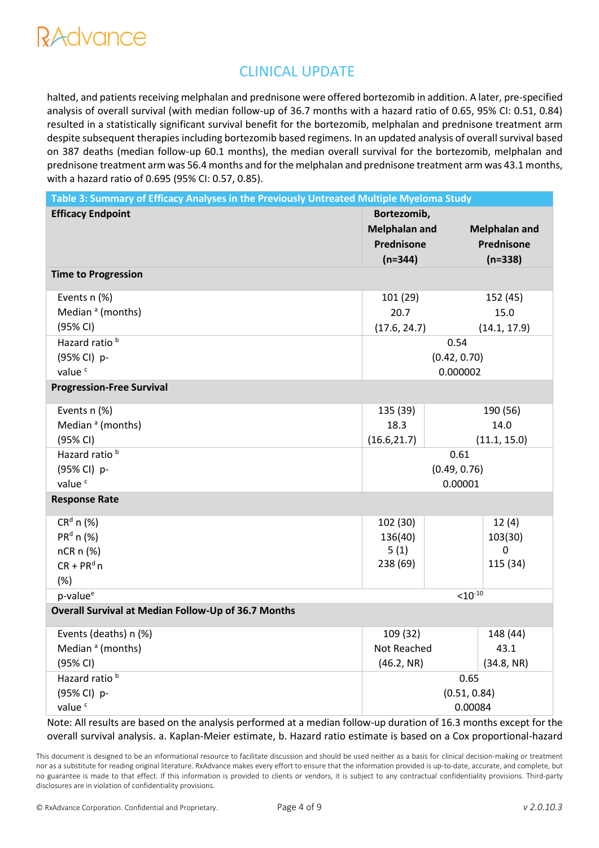### CLINICAL UPDATE

halted, and patients receiving melphalan and prednisone were offered bortezomib in addition. A later, pre-specified analysis of overall survival (with median follow-up of 36.7 months with a hazard ratio of 0.65, 95% CI: 0.51, 0.84) resulted in a statistically significant survival benefit for the bortezomib, melphalan and prednisone treatment arm despite subsequent therapies including bortezomib based regimens. In an updated analysis of overall survival based on 387 deaths (median follow-up 60.1 months), the median overall survival for the bortezomib, melphalan and prednisone treatment arm was 56.4 months and for the melphalan and prednisone treatment arm was 43.1 months, with a hazard ratio of 0.695 (95% CI: 0.57, 0.85).

| Table 3: Summary of Efficacy Analyses in the Previously Untreated Multiple Myeloma Study |                      |                     |                      |  |
|------------------------------------------------------------------------------------------|----------------------|---------------------|----------------------|--|
| <b>Efficacy Endpoint</b>                                                                 | Bortezomib,          |                     |                      |  |
|                                                                                          | <b>Melphalan and</b> |                     | <b>Melphalan and</b> |  |
|                                                                                          | Prednisone           |                     | Prednisone           |  |
|                                                                                          | $(n=344)$            |                     | $(n=338)$            |  |
| <b>Time to Progression</b>                                                               |                      |                     |                      |  |
| Events n (%)                                                                             | 101 (29)             |                     | 152 (45)             |  |
| Median <sup>a</sup> (months)                                                             | 20.7                 |                     | 15.0                 |  |
| (95% CI)                                                                                 | (17.6, 24.7)         |                     | (14.1, 17.9)         |  |
| Hazard ratio <sup>b</sup>                                                                |                      | 0.54                |                      |  |
| (95% CI) p-                                                                              |                      | (0.42, 0.70)        |                      |  |
| value <sup>c</sup>                                                                       |                      | 0.000002            |                      |  |
| <b>Progression-Free Survival</b>                                                         |                      |                     |                      |  |
| Events n (%)                                                                             | 135 (39)             |                     | 190 (56)             |  |
| Median <sup>a</sup> (months)                                                             | 18.3                 |                     | 14.0                 |  |
| (95% CI)                                                                                 | (16.6, 21.7)         |                     | (11.1, 15.0)         |  |
| Hazard ratio <sup>b</sup>                                                                |                      | 0.61                |                      |  |
| (95% CI) p-                                                                              |                      | (0.49, 0.76)        |                      |  |
| value <sup>c</sup>                                                                       |                      | 0.00001             |                      |  |
| <b>Response Rate</b>                                                                     |                      |                     |                      |  |
| $CRd$ n (%)                                                                              | 102 (30)             |                     | 12(4)                |  |
| $PRd$ n (%)                                                                              | 136(40)              |                     | 103(30)              |  |
| nCR n (%)                                                                                | 5(1)                 |                     | 0                    |  |
| $CR + PRd n$                                                                             | 238 (69)             |                     | 115 (34)             |  |
| (%)                                                                                      |                      |                     |                      |  |
| p-value <sup>e</sup>                                                                     |                      | $< 10^{-10}$        |                      |  |
| Overall Survival at Median Follow-Up of 36.7 Months                                      |                      |                     |                      |  |
| Events (deaths) n (%)                                                                    | 109 (32)             |                     | 148 (44)             |  |
| Median <sup>a</sup> (months)                                                             |                      | Not Reached<br>43.1 |                      |  |
| (95% CI)                                                                                 | (46.2, NR)           |                     | (34.8, NR)           |  |
| Hazard ratio <sup>b</sup>                                                                | 0.65                 |                     |                      |  |
| (95% CI) p-                                                                              | (0.51, 0.84)         |                     |                      |  |
| value <sup>c</sup>                                                                       | 0.00084              |                     |                      |  |

Note: All results are based on the analysis performed at a median follow-up duration of 16.3 months except for the overall survival analysis. a. Kaplan-Meier estimate, b. Hazard ratio estimate is based on a Cox proportional-hazard

This document is designed to be an informational resource to facilitate discussion and should be used neither as a basis for clinical decision-making or treatment nor as a substitute for reading original literature. RxAdvance makes every effort to ensure that the information provided is up-to-date, accurate, and complete, but no guarantee is made to that effect. If this information is provided to clients or vendors, it is subject to any contractual confidentiality provisions. Third-party disclosures are in violation of confidentiality provisions.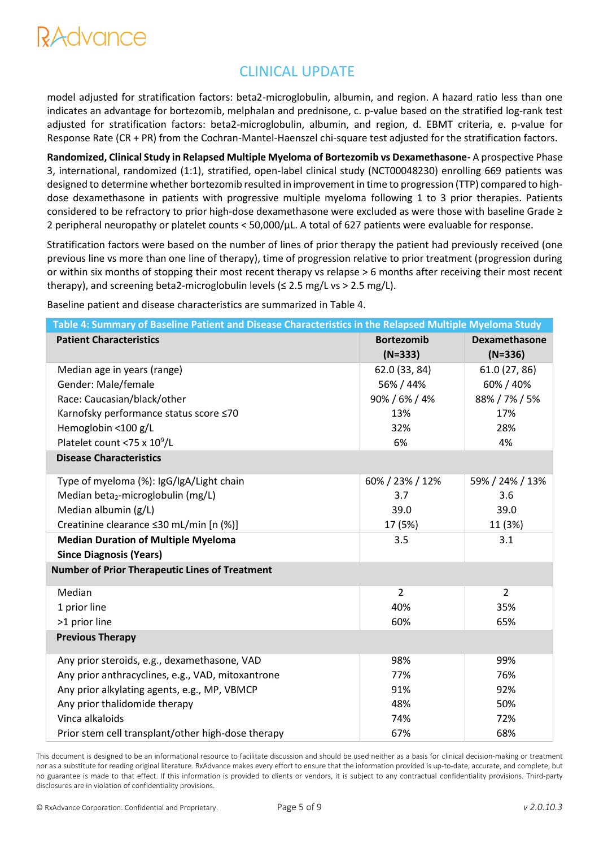### CLINICAL UPDATE

model adjusted for stratification factors: beta2-microglobulin, albumin, and region. A hazard ratio less than one indicates an advantage for bortezomib, melphalan and prednisone, c. p-value based on the stratified log-rank test adjusted for stratification factors: beta2-microglobulin, albumin, and region, d. EBMT criteria, e. p-value for Response Rate (CR + PR) from the Cochran-Mantel-Haenszel chi-square test adjusted for the stratification factors.

**Randomized, Clinical Study in Relapsed Multiple Myeloma of Bortezomib vs Dexamethasone-** A prospective Phase 3, international, randomized (1:1), stratified, open-label clinical study (NCT00048230) enrolling 669 patients was designed to determine whether bortezomib resulted in improvement in time to progression (TTP) compared to highdose dexamethasone in patients with progressive multiple myeloma following 1 to 3 prior therapies. Patients considered to be refractory to prior high-dose dexamethasone were excluded as were those with baseline Grade ≥ 2 peripheral neuropathy or platelet counts < 50,000/μL. A total of 627 patients were evaluable for response.

Stratification factors were based on the number of lines of prior therapy the patient had previously received (one previous line vs more than one line of therapy), time of progression relative to prior treatment (progression during or within six months of stopping their most recent therapy vs relapse > 6 months after receiving their most recent therapy), and screening beta2-microglobulin levels ( $\leq$  2.5 mg/L vs > 2.5 mg/L).

Baseline patient and disease characteristics are summarized in Table 4.

| Table 4: Summary of Baseline Patient and Disease Characteristics in the Relapsed Multiple Myeloma Study |                   |                      |  |  |  |  |
|---------------------------------------------------------------------------------------------------------|-------------------|----------------------|--|--|--|--|
| <b>Patient Characteristics</b>                                                                          | <b>Bortezomib</b> | <b>Dexamethasone</b> |  |  |  |  |
|                                                                                                         | $(N=333)$         | $(N=336)$            |  |  |  |  |
| Median age in years (range)                                                                             | 62.0 (33, 84)     | 61.0 (27, 86)        |  |  |  |  |
| Gender: Male/female                                                                                     | 56% / 44%         | 60% / 40%            |  |  |  |  |
| Race: Caucasian/black/other                                                                             | 90% / 6% / 4%     | 88% / 7% / 5%        |  |  |  |  |
| Karnofsky performance status score ≤70                                                                  | 13%               | 17%                  |  |  |  |  |
| Hemoglobin <100 g/L                                                                                     | 32%               | 28%                  |  |  |  |  |
| Platelet count <75 x 10 <sup>9</sup> /L                                                                 | 6%                | 4%                   |  |  |  |  |
| <b>Disease Characteristics</b>                                                                          |                   |                      |  |  |  |  |
| Type of myeloma (%): IgG/IgA/Light chain                                                                | 60% / 23% / 12%   | 59% / 24% / 13%      |  |  |  |  |
| Median beta <sub>2</sub> -microglobulin (mg/L)                                                          | 3.7               | 3.6                  |  |  |  |  |
| Median albumin (g/L)                                                                                    | 39.0              | 39.0                 |  |  |  |  |
| Creatinine clearance ≤30 mL/min [n (%)]                                                                 | 17 (5%)           | 11 (3%)              |  |  |  |  |
| <b>Median Duration of Multiple Myeloma</b>                                                              | 3.5               | 3.1                  |  |  |  |  |
| <b>Since Diagnosis (Years)</b>                                                                          |                   |                      |  |  |  |  |
| <b>Number of Prior Therapeutic Lines of Treatment</b>                                                   |                   |                      |  |  |  |  |
| Median                                                                                                  | $\overline{2}$    | $\overline{2}$       |  |  |  |  |
| 1 prior line                                                                                            | 40%               | 35%                  |  |  |  |  |
| >1 prior line                                                                                           | 60%               | 65%                  |  |  |  |  |
| <b>Previous Therapy</b>                                                                                 |                   |                      |  |  |  |  |
| Any prior steroids, e.g., dexamethasone, VAD                                                            | 98%               | 99%                  |  |  |  |  |
| Any prior anthracyclines, e.g., VAD, mitoxantrone                                                       | 77%               | 76%                  |  |  |  |  |
| Any prior alkylating agents, e.g., MP, VBMCP                                                            | 91%               | 92%                  |  |  |  |  |
| Any prior thalidomide therapy                                                                           | 48%               | 50%                  |  |  |  |  |
| Vinca alkaloids                                                                                         | 74%               | 72%                  |  |  |  |  |
| Prior stem cell transplant/other high-dose therapy                                                      | 67%               | 68%                  |  |  |  |  |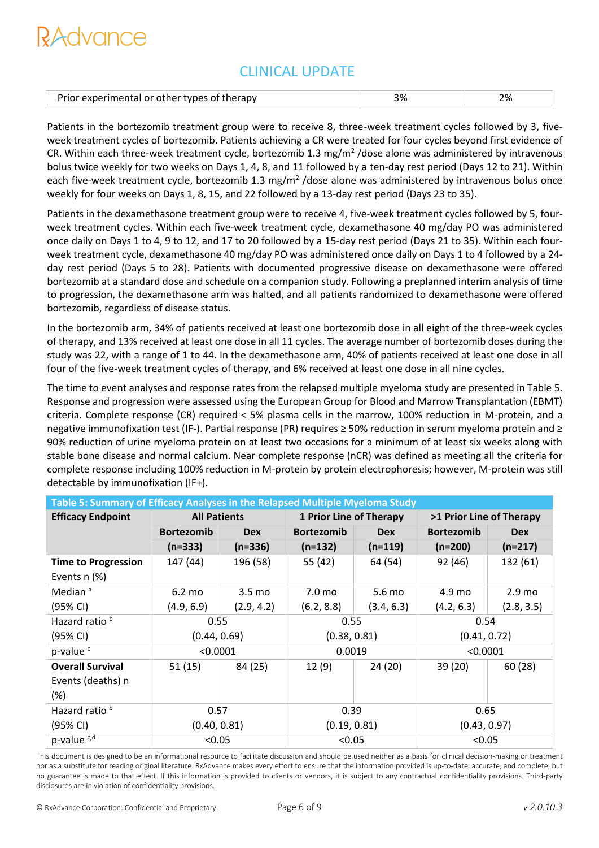### CLINICAL UPDATE

| Prior experimental or other types of therapy |  |  |
|----------------------------------------------|--|--|
|                                              |  |  |

Patients in the bortezomib treatment group were to receive 8, three-week treatment cycles followed by 3, fiveweek treatment cycles of bortezomib. Patients achieving a CR were treated for four cycles beyond first evidence of CR. Within each three-week treatment cycle, bortezomib 1.3 mg/m<sup>2</sup>/dose alone was administered by intravenous bolus twice weekly for two weeks on Days 1, 4, 8, and 11 followed by a ten-day rest period (Days 12 to 21). Within each five-week treatment cycle, bortezomib 1.3 mg/m<sup>2</sup> /dose alone was administered by intravenous bolus once weekly for four weeks on Days 1, 8, 15, and 22 followed by a 13-day rest period (Days 23 to 35).

Patients in the dexamethasone treatment group were to receive 4, five-week treatment cycles followed by 5, fourweek treatment cycles. Within each five-week treatment cycle, dexamethasone 40 mg/day PO was administered once daily on Days 1 to 4, 9 to 12, and 17 to 20 followed by a 15-day rest period (Days 21 to 35). Within each fourweek treatment cycle, dexamethasone 40 mg/day PO was administered once daily on Days 1 to 4 followed by a 24 day rest period (Days 5 to 28). Patients with documented progressive disease on dexamethasone were offered bortezomib at a standard dose and schedule on a companion study. Following a preplanned interim analysis of time to progression, the dexamethasone arm was halted, and all patients randomized to dexamethasone were offered bortezomib, regardless of disease status.

In the bortezomib arm, 34% of patients received at least one bortezomib dose in all eight of the three-week cycles of therapy, and 13% received at least one dose in all 11 cycles. The average number of bortezomib doses during the study was 22, with a range of 1 to 44. In the dexamethasone arm, 40% of patients received at least one dose in all four of the five-week treatment cycles of therapy, and 6% received at least one dose in all nine cycles.

The time to event analyses and response rates from the relapsed multiple myeloma study are presented in Table 5. Response and progression were assessed using the European Group for Blood and Marrow Transplantation (EBMT) criteria. Complete response (CR) required < 5% plasma cells in the marrow, 100% reduction in M-protein, and a negative immunofixation test (IF-). Partial response (PR) requires ≥ 50% reduction in serum myeloma protein and ≥ 90% reduction of urine myeloma protein on at least two occasions for a minimum of at least six weeks along with stable bone disease and normal calcium. Near complete response (nCR) was defined as meeting all the criteria for complete response including 100% reduction in M-protein by protein electrophoresis; however, M-protein was still detectable by immunofixation (IF+).

| Table 5: Summary of Efficacy Analyses in the Relapsed Multiple Myeloma Study |                   |                                                                                   |                   |            |              |                   |  |
|------------------------------------------------------------------------------|-------------------|-----------------------------------------------------------------------------------|-------------------|------------|--------------|-------------------|--|
| <b>Efficacy Endpoint</b>                                                     |                   | <b>All Patients</b><br><b>1 Prior Line of Therapy</b><br>>1 Prior Line of Therapy |                   |            |              |                   |  |
|                                                                              | <b>Bortezomib</b> | <b>Dex</b>                                                                        | <b>Bortezomib</b> | <b>Dex</b> |              | <b>Dex</b>        |  |
|                                                                              | $(n=333)$         | $(n=336)$                                                                         | $(n=132)$         | $(n=119)$  | $(n=200)$    | $(n=217)$         |  |
| <b>Time to Progression</b>                                                   | 147 (44)          | 196 (58)                                                                          | 55 (42)           | 64 (54)    | 92 (46)      | 132 (61)          |  |
| Events $n$ $%$                                                               |                   |                                                                                   |                   |            |              |                   |  |
| Median <sup>a</sup>                                                          | $6.2 \text{ mo}$  | 3.5 <sub>mo</sub>                                                                 | 7.0 mo            | 5.6 mo     | 4.9 mo       | 2.9 <sub>mo</sub> |  |
| (95% CI)                                                                     | (4.9, 6.9)        | (2.9, 4.2)                                                                        | (6.2, 8.8)        | (3.4, 6.3) | (4.2, 6.3)   | (2.8, 3.5)        |  |
| Hazard ratio <sup>b</sup>                                                    | 0.55              |                                                                                   | 0.55              |            | 0.54         |                   |  |
| (95% CI)                                                                     | (0.44, 0.69)      |                                                                                   | (0.38, 0.81)      |            | (0.41, 0.72) |                   |  |
| p-value <sup>c</sup>                                                         | < 0.0001          |                                                                                   | 0.0019            |            | < 0.0001     |                   |  |
| <b>Overall Survival</b>                                                      | 51 (15)           | 84 (25)                                                                           | 12(9)             | 24 (20)    | 39 (20)      | 60 (28)           |  |
| Events (deaths) n                                                            |                   |                                                                                   |                   |            |              |                   |  |
| $(\%)$                                                                       |                   |                                                                                   |                   |            |              |                   |  |
| Hazard ratio <sup>b</sup>                                                    | 0.57              |                                                                                   | 0.39              |            | 0.65         |                   |  |
| (95% CI)                                                                     | (0.40, 0.81)      |                                                                                   | (0.19, 0.81)      |            | (0.43, 0.97) |                   |  |
| p-value <sup>c,d</sup>                                                       | < 0.05            |                                                                                   | < 0.05            |            | < 0.05       |                   |  |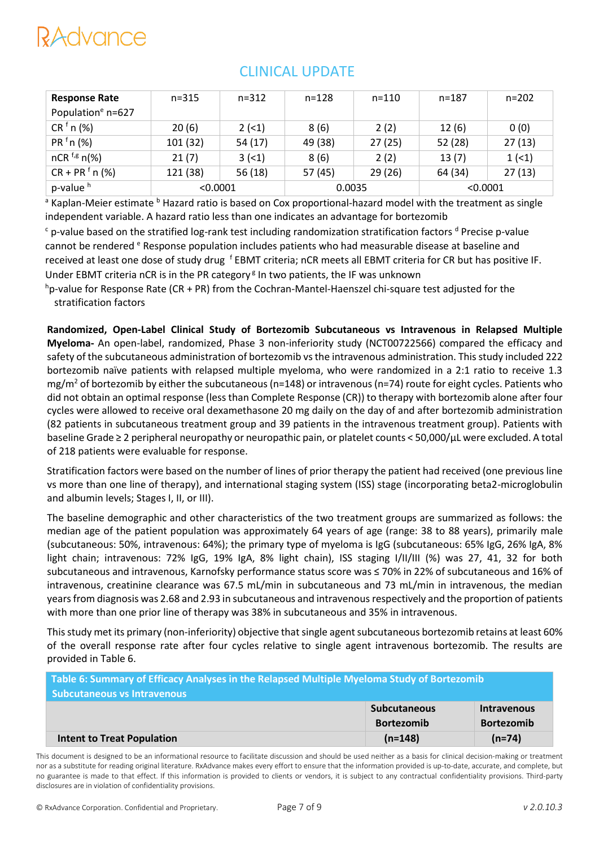| <b>Response Rate</b>          | $n = 315$ | $n = 312$ | $n = 128$ | $n = 110$ | $n = 187$ | $n = 202$ |
|-------------------------------|-----------|-----------|-----------|-----------|-----------|-----------|
| Population <sup>e</sup> n=627 |           |           |           |           |           |           |
| CR <sup>f</sup> n (%)         | 20(6)     | $2(-1)$   | 8(6)      | 2(2)      | 12(6)     | 0(0)      |
| $PRf n$ (%)                   | 101 (32)  | 54(17)    | 49 (38)   | 27(25)    | 52 (28)   | 27(13)    |
| nCR $f, g$ n(%)               | 21(7)     | 3(1)      | 8(6)      | 2(2)      | 13(7)     | 1(1)      |
| $CR + PR$ <sup>f</sup> n (%)  | 121 (38)  | 56(18)    | 57 (45)   | 29(26)    | 64 (34)   | 27(13)    |
| p-value <sup>h</sup>          | < 0.0001  |           | 0.0035    |           | < 0.0001  |           |

## CLINICAL UPDATE

<sup>a</sup> Kaplan-Meier estimate <sup>b</sup> Hazard ratio is based on Cox proportional-hazard model with the treatment as single independent variable. A hazard ratio less than one indicates an advantage for bortezomib

 $c$  p-value based on the stratified log-rank test including randomization stratification factors  $d$  Precise p-value cannot be rendered <sup>e</sup> Response population includes patients who had measurable disease at baseline and received at least one dose of study drug <sup>f</sup> EBMT criteria; nCR meets all EBMT criteria for CR but has positive IF. Under EBMT criteria nCR is in the PR category<sup>g</sup> In two patients, the IF was unknown

 $h$ p-value for Response Rate (CR + PR) from the Cochran-Mantel-Haenszel chi-square test adjusted for the stratification factors

**Randomized, Open-Label Clinical Study of Bortezomib Subcutaneous vs Intravenous in Relapsed Multiple Myeloma-** An open-label, randomized, Phase 3 non-inferiority study (NCT00722566) compared the efficacy and safety of the subcutaneous administration of bortezomib vs the intravenous administration. This study included 222 bortezomib naïve patients with relapsed multiple myeloma, who were randomized in a 2:1 ratio to receive 1.3 mg/m<sup>2</sup> of bortezomib by either the subcutaneous (n=148) or intravenous (n=74) route for eight cycles. Patients who did not obtain an optimal response (less than Complete Response (CR)) to therapy with bortezomib alone after four cycles were allowed to receive oral dexamethasone 20 mg daily on the day of and after bortezomib administration (82 patients in subcutaneous treatment group and 39 patients in the intravenous treatment group). Patients with baseline Grade ≥ 2 peripheral neuropathy or neuropathic pain, or platelet counts < 50,000/μL were excluded. A total of 218 patients were evaluable for response.

Stratification factors were based on the number of lines of prior therapy the patient had received (one previous line vs more than one line of therapy), and international staging system (ISS) stage (incorporating beta2-microglobulin and albumin levels; Stages I, II, or III).

The baseline demographic and other characteristics of the two treatment groups are summarized as follows: the median age of the patient population was approximately 64 years of age (range: 38 to 88 years), primarily male (subcutaneous: 50%, intravenous: 64%); the primary type of myeloma is IgG (subcutaneous: 65% IgG, 26% IgA, 8% light chain; intravenous: 72% IgG, 19% IgA, 8% light chain), ISS staging I/II/III (%) was 27, 41, 32 for both subcutaneous and intravenous, Karnofsky performance status score was ≤ 70% in 22% of subcutaneous and 16% of intravenous, creatinine clearance was 67.5 mL/min in subcutaneous and 73 mL/min in intravenous, the median years from diagnosis was 2.68 and 2.93 in subcutaneous and intravenousrespectively and the proportion of patients with more than one prior line of therapy was 38% in subcutaneous and 35% in intravenous.

This study met its primary (non-inferiority) objective that single agent subcutaneous bortezomib retains at least 60% of the overall response rate after four cycles relative to single agent intravenous bortezomib. The results are provided in Table 6.

| Table 6: Summary of Efficacy Analyses in the Relapsed Multiple Myeloma Study of Bortezomib<br><b>Subcutaneous vs Intravenous</b> |                     |                    |  |  |  |
|----------------------------------------------------------------------------------------------------------------------------------|---------------------|--------------------|--|--|--|
|                                                                                                                                  |                     |                    |  |  |  |
|                                                                                                                                  | <b>Subcutaneous</b> | <b>Intravenous</b> |  |  |  |
|                                                                                                                                  | <b>Bortezomib</b>   | <b>Bortezomib</b>  |  |  |  |
| <b>Intent to Treat Population</b>                                                                                                | $(n=148)$           | $(n=74)$           |  |  |  |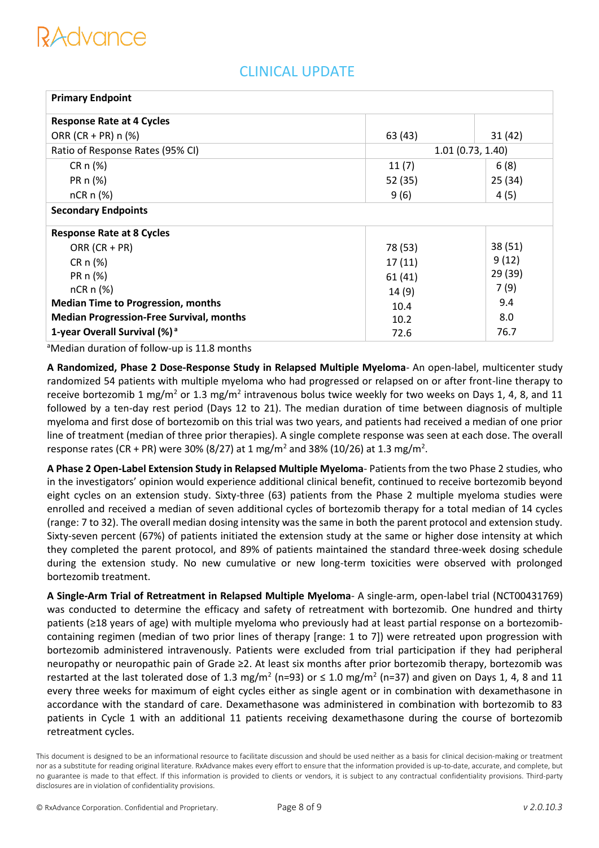| <b>Primary Endpoint</b>                         |         |                  |
|-------------------------------------------------|---------|------------------|
| <b>Response Rate at 4 Cycles</b>                |         |                  |
| ORR $(CR + PR)$ n $(\%)$                        | 63 (43) | 31(42)           |
| Ratio of Response Rates (95% CI)                |         | 1.01(0.73, 1.40) |
| $CRn (\%)$                                      | 11(7)   | 6(8)             |
| PR n (%)                                        | 52 (35) | 25(34)           |
| $nCR \n  (% )$                                  | 9(6)    | 4(5)             |
| <b>Secondary Endpoints</b>                      |         |                  |
| <b>Response Rate at 8 Cycles</b>                |         |                  |
| ORR $(CR + PR)$                                 | 78 (53) | 38 (51)          |
| $CR \n  n \n  (%)$                              | 17(11)  | 9(12)            |
| PR n (%)                                        | 61(41)  | 29 (39)          |
| $nCR \n  (%)$                                   | 14(9)   | 7(9)             |
| <b>Median Time to Progression, months</b>       | 10.4    | 9.4              |
| <b>Median Progression-Free Survival, months</b> | 10.2    | 8.0              |
| 1-year Overall Survival (%) <sup>a</sup>        | 72.6    | 76.7             |

### CLINICAL UPDATE

<sup>a</sup>Median duration of follow-up is 11.8 months

**A Randomized, Phase 2 Dose-Response Study in Relapsed Multiple Myeloma**- An open-label, multicenter study randomized 54 patients with multiple myeloma who had progressed or relapsed on or after front-line therapy to receive bortezomib 1 mg/m<sup>2</sup> or 1.3 mg/m<sup>2</sup> intravenous bolus twice weekly for two weeks on Days 1, 4, 8, and 11 followed by a ten-day rest period (Days 12 to 21). The median duration of time between diagnosis of multiple myeloma and first dose of bortezomib on this trial was two years, and patients had received a median of one prior line of treatment (median of three prior therapies). A single complete response was seen at each dose. The overall response rates (CR + PR) were 30% (8/27) at 1 mg/m<sup>2</sup> and 38% (10/26) at 1.3 mg/m<sup>2</sup>.

**A Phase 2 Open-Label Extension Study in Relapsed Multiple Myeloma**- Patients from the two Phase 2 studies, who in the investigators' opinion would experience additional clinical benefit, continued to receive bortezomib beyond eight cycles on an extension study. Sixty-three (63) patients from the Phase 2 multiple myeloma studies were enrolled and received a median of seven additional cycles of bortezomib therapy for a total median of 14 cycles (range: 7 to 32). The overall median dosing intensity was the same in both the parent protocol and extension study. Sixty-seven percent (67%) of patients initiated the extension study at the same or higher dose intensity at which they completed the parent protocol, and 89% of patients maintained the standard three-week dosing schedule during the extension study. No new cumulative or new long-term toxicities were observed with prolonged bortezomib treatment.

**A Single-Arm Trial of Retreatment in Relapsed Multiple Myeloma**- A single-arm, open-label trial (NCT00431769) was conducted to determine the efficacy and safety of retreatment with bortezomib. One hundred and thirty patients (≥18 years of age) with multiple myeloma who previously had at least partial response on a bortezomibcontaining regimen (median of two prior lines of therapy [range: 1 to 7]) were retreated upon progression with bortezomib administered intravenously. Patients were excluded from trial participation if they had peripheral neuropathy or neuropathic pain of Grade ≥2. At least six months after prior bortezomib therapy, bortezomib was restarted at the last tolerated dose of 1.3 mg/m<sup>2</sup> (n=93) or  $\leq$  1.0 mg/m<sup>2</sup> (n=37) and given on Days 1, 4, 8 and 11 every three weeks for maximum of eight cycles either as single agent or in combination with dexamethasone in accordance with the standard of care. Dexamethasone was administered in combination with bortezomib to 83 patients in Cycle 1 with an additional 11 patients receiving dexamethasone during the course of bortezomib retreatment cycles.

This document is designed to be an informational resource to facilitate discussion and should be used neither as a basis for clinical decision-making or treatment nor as a substitute for reading original literature. RxAdvance makes every effort to ensure that the information provided is up-to-date, accurate, and complete, but no guarantee is made to that effect. If this information is provided to clients or vendors, it is subject to any contractual confidentiality provisions. Third-party disclosures are in violation of confidentiality provisions.